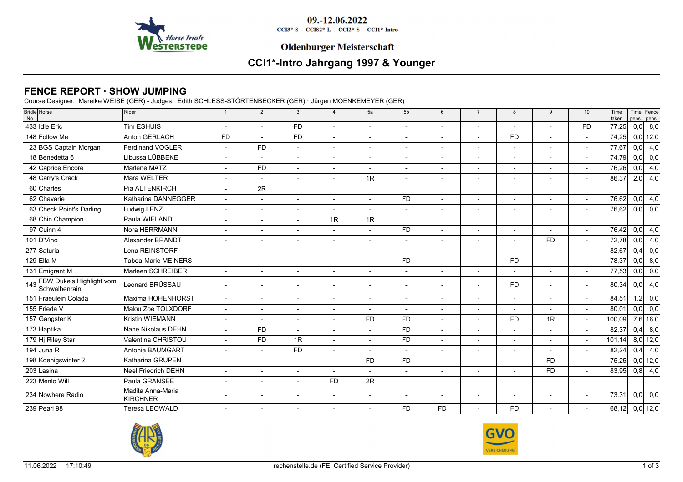

09.-12.06.2022

CCI3\*-S CCIS2\*-L CCI2\*-S CCI1\*-Intro

### **Oldenburger Meisterschaft**

# **CCI1\*-Intro Jahrgang 1997 & Younger**

# **FENCE REPORT · SHOW JUMPING**

Course Designer: Mareike WEISE (GER) - Judges: Edith SCHLESS-STÖRTENBECKER (GER) · Jürgen MOENKEMEYER (GER)

| <b>Bridle</b> Horse                           | Rider                                | $\overline{1}$           | 2                        | 3                        | $\overline{4}$           | 5a                       | 5 <sub>b</sub>           | 6                        | $\overline{7}$ | 8         | 9              | 10                       | Time   |      | Time Fence       |
|-----------------------------------------------|--------------------------------------|--------------------------|--------------------------|--------------------------|--------------------------|--------------------------|--------------------------|--------------------------|----------------|-----------|----------------|--------------------------|--------|------|------------------|
| No.                                           |                                      |                          |                          |                          |                          |                          |                          |                          |                |           |                |                          | taken  |      | pens. pens.      |
| 433 Idle Eric                                 | Tim ESHUIS                           |                          |                          | <b>FD</b>                |                          |                          |                          | $\overline{\phantom{a}}$ |                |           |                | <b>FD</b>                | 77,25  | 0,0  | 8,0              |
| 148 Follow Me                                 | Anton GERLACH                        | <b>FD</b>                |                          | <b>FD</b>                |                          |                          |                          |                          |                | <b>FD</b> |                |                          | 74,25  |      | $0,0$ 12,0       |
| 23 BGS Captain Morgan                         | <b>Ferdinand VOGLER</b>              |                          | <b>FD</b>                | $\sim$                   | $\overline{\phantom{a}}$ |                          |                          | $\overline{\phantom{a}}$ |                |           | $\blacksquare$ | $\sim$                   | 77,67  | 0,0  | 4,0              |
| 18 Benedetta 6                                | Libussa LÜBBEKE                      |                          |                          |                          |                          |                          |                          |                          |                |           |                |                          | 74,79  | 0,0  | 0,0              |
| 42 Caprice Encore                             | Marlene MATZ                         |                          | <b>FD</b>                | $\overline{\phantom{a}}$ | $\overline{a}$           |                          | $\overline{a}$           | $\overline{\phantom{a}}$ |                |           |                | $\overline{a}$           | 76,26  | 0,0  | 4,0              |
| 48 Carry's Crack                              | Mara WELTER                          |                          |                          |                          |                          | 1R                       |                          |                          |                |           |                |                          | 86,37  | 2,0  | 4,0              |
| 60 Charles                                    | Pia ALTENKIRCH                       |                          | 2R                       |                          |                          |                          |                          |                          |                |           |                |                          |        |      |                  |
| 62 Chavarie                                   | Katharina DANNEGGER                  |                          |                          |                          |                          |                          | <b>FD</b>                |                          |                |           |                |                          | 76,62  | 0,0  | 4,0              |
| 63 Check Point's Darling                      | Ludwig LENZ                          |                          | $\overline{\phantom{a}}$ | $\overline{\phantom{a}}$ |                          |                          | $\overline{\phantom{a}}$ | $\overline{\phantom{a}}$ |                |           |                | $\overline{\phantom{a}}$ | 76,62  | 0,0  | 0,0              |
| 68 Chin Champion                              | Paula WIELAND                        |                          |                          |                          | 1R                       | 1R                       |                          |                          |                |           |                |                          |        |      |                  |
| 97 Cuinn 4                                    | Nora HERRMANN                        |                          |                          | $\overline{\phantom{a}}$ |                          |                          | <b>FD</b>                | $\mathbf{r}$             |                |           |                | $\sim$                   | 76,42  | 0,0  | 4,0              |
| 101 D'Vino                                    | Alexander BRANDT                     |                          |                          | $\overline{\phantom{a}}$ |                          |                          |                          |                          |                |           | <b>FD</b>      | $\blacksquare$           | 72,78  | 0,0  | 4,0              |
| 277 Saturia                                   | Lena REINSTORF                       |                          |                          | $\overline{\phantom{a}}$ |                          | $\overline{a}$           | $\sim$                   | $\overline{\phantom{a}}$ |                |           | $\overline{a}$ | $\sim$                   | 82,67  | 0,4  | 0,0              |
| 129 Ella M                                    | <b>Tabea-Marie MEINERS</b>           |                          |                          | $\overline{\phantom{a}}$ |                          |                          | <b>FD</b>                |                          |                | <b>FD</b> |                | $\overline{\phantom{a}}$ | 78,37  | 0,0  | 8,0              |
| 131 Emigrant M                                | Marleen SCHREIBER                    | $\overline{\phantom{a}}$ |                          | $\overline{\phantom{a}}$ |                          |                          | $\overline{a}$           | $\overline{\phantom{a}}$ |                |           | $\overline{a}$ | $\sim$                   | 77,53  | 0,0  | 0,0              |
| 143 FBW Duke's Highlight vom<br>Schwalbenrain | Leonard BRÜSSAU                      |                          |                          |                          |                          |                          |                          |                          |                | <b>FD</b> | $\sim$         | $\overline{a}$           | 80,34  | 0, 0 | 4,0              |
| 151 Fraeulein Colada                          | Maxima HOHENHORST                    | $\sim$                   | $\overline{\phantom{a}}$ | $\overline{\phantom{a}}$ |                          | $\overline{\phantom{a}}$ | $\overline{\phantom{a}}$ | $\overline{\phantom{a}}$ |                |           |                | $\overline{\phantom{a}}$ | 84,51  | 1,2  | 0,0              |
| 155 Frieda V                                  | Malou Zoe TOLXDORF                   |                          |                          |                          |                          |                          |                          |                          |                |           |                |                          | 80,01  | 0,0  | $\overline{0,0}$ |
| 157 Gangster K                                | <b>Kristin WIEMANN</b>               |                          |                          |                          |                          | <b>FD</b>                | <b>FD</b>                |                          |                | <b>FD</b> | 1R             | $\overline{\phantom{a}}$ | 100,09 |      | $7,6$ 16,0       |
| 173 Haptika                                   | Nane Nikolaus DEHN                   |                          | <b>FD</b>                |                          |                          |                          | <b>FD</b>                |                          |                |           |                |                          | 82,37  | 0,4  | 8,0              |
| 179 Hj Riley Star                             | Valentina CHRISTOU                   |                          | <b>FD</b>                | 1R                       |                          |                          | <b>FD</b>                | $\overline{\phantom{a}}$ |                |           |                | $\overline{\phantom{a}}$ | 101,14 |      | $8,0$ 12,0       |
| 194 Juna R                                    | Antonia BAUMGART                     |                          |                          | <b>FD</b>                |                          |                          |                          |                          |                |           |                |                          | 82,24  | 0,4  | 4,0              |
| 198 Koenigswinter 2                           | Katharina GRUPEN                     |                          | $\overline{\phantom{a}}$ | $\overline{\phantom{a}}$ |                          | <b>FD</b>                | <b>FD</b>                | $\overline{\phantom{a}}$ |                |           | <b>FD</b>      | $\overline{\phantom{a}}$ | 75,25  |      | $0,0$ 12,0       |
| 203 Lasina                                    | Neel Friedrich DEHN                  |                          |                          |                          |                          |                          |                          |                          |                |           | <b>FD</b>      |                          | 83,95  | 0,8  | 4,0              |
| 223 Menlo Will                                | Paula GRANSEE                        |                          | $\overline{\phantom{a}}$ | $\overline{\phantom{a}}$ | <b>FD</b>                | 2R                       |                          |                          |                |           |                |                          |        |      |                  |
| 234 Nowhere Radio                             | Madita Anna-Maria<br><b>KIRCHNER</b> |                          |                          |                          |                          |                          |                          |                          |                |           |                | $\overline{\phantom{0}}$ | 73,31  | 0,0  | 0,0              |
| 239 Pearl 98                                  | <b>Teresa LEOWALD</b>                |                          |                          |                          |                          |                          | <b>FD</b>                | <b>FD</b>                |                | <b>FD</b> |                |                          | 68,12  |      | $0,0$ 12,0       |
|                                               |                                      |                          |                          |                          |                          |                          |                          |                          |                |           |                |                          |        |      |                  |



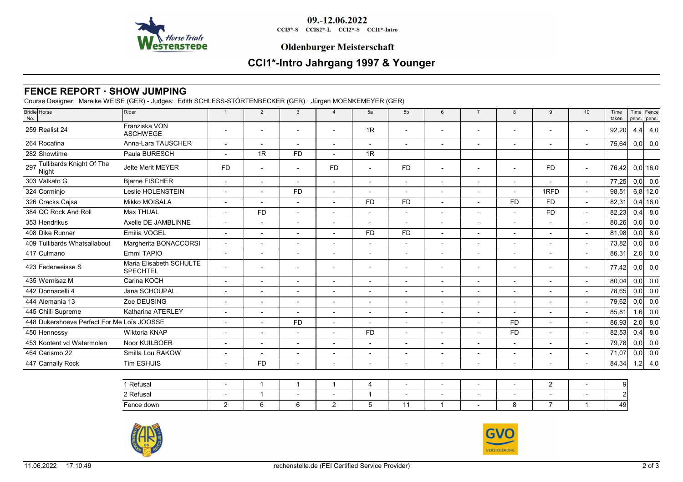

09.-12.06.2022

CCI3\*-S CCIS2\*-L CCI2\*-S CCI1\*-Intro

## **Oldenburger Meisterschaft**

# **CCI1\*-Intro Jahrgang 1997 & Younger**

# **FENCE REPORT · SHOW JUMPING**

Course Designer: Mareike WEISE (GER) - Judges: Edith SCHLESS-STÖRTENBECKER (GER) · Jürgen MOENKEMEYER (GER)

| Bridle Horse<br>No.                        | Rider                                      | -1                       | 2                        | 3                        | $\overline{4}$           | 5a                       | 5 <sub>b</sub>           | 6                        | $\overline{7}$           | 8                        | 9                        | 10                       | Time<br>taken |      | Time Fence<br>pens. pens. |
|--------------------------------------------|--------------------------------------------|--------------------------|--------------------------|--------------------------|--------------------------|--------------------------|--------------------------|--------------------------|--------------------------|--------------------------|--------------------------|--------------------------|---------------|------|---------------------------|
| 259 Realist 24                             | Franziska VON<br><b>ASCHWEGE</b>           |                          |                          |                          | $\overline{\phantom{a}}$ | 1R                       | $\overline{\phantom{a}}$ |                          | $\blacksquare$           |                          |                          | $\overline{\phantom{a}}$ | 92,20         | 4,4  | 4,0                       |
| 264 Rocafina                               | Anna-Lara TAUSCHER                         |                          | $\overline{\phantom{0}}$ |                          | $\overline{\phantom{a}}$ | $\overline{\phantom{a}}$ | $\overline{\phantom{a}}$ | $\overline{\phantom{0}}$ | $\overline{a}$           | $\overline{\phantom{0}}$ | $\overline{\phantom{a}}$ | $\overline{\phantom{a}}$ | 75,64         | 0, 0 | 0,0                       |
| 282 Showtime                               | Paula BURESCH                              |                          | 1R                       | <b>FD</b>                | $\overline{\phantom{0}}$ | 1R                       |                          |                          |                          |                          |                          |                          |               |      |                           |
| 297 Tullibards Knight Of The<br>Night      | <b>Jelte Merit MEYER</b>                   | <b>FD</b>                |                          |                          | <b>FD</b>                |                          | F <sub>D</sub>           |                          |                          |                          | <b>FD</b>                | $\overline{\phantom{a}}$ | 76,42         |      | $0,0$ 16,0                |
| 303 Valkato G                              | <b>Bjarne FISCHER</b>                      |                          | $\overline{\phantom{a}}$ | $\overline{\phantom{a}}$ | $\overline{a}$           | $\overline{\phantom{0}}$ | $\overline{\phantom{a}}$ | $\overline{\phantom{a}}$ | $\overline{\phantom{a}}$ | $\overline{\phantom{a}}$ |                          | $\overline{\phantom{a}}$ | 77,25         | 0,0  | 0,0                       |
| 324 Corminjo                               | Leslie HOLENSTEIN                          |                          |                          | <b>FD</b>                | $\overline{\phantom{a}}$ |                          |                          | $\overline{\phantom{a}}$ | $\overline{\phantom{a}}$ |                          | 1RFD                     | $\overline{\phantom{a}}$ | 98,51         |      | $6,8$ 12,0                |
| 326 Cracks Cajsa                           | Mikko MOISALA                              | $\overline{\phantom{a}}$ | $\blacksquare$           | $\sim$                   | $\blacksquare$           | <b>FD</b>                | <b>FD</b>                | $\overline{\phantom{a}}$ | $\blacksquare$           | <b>FD</b>                | <b>FD</b>                | $\overline{\phantom{a}}$ | 82,31         |      | $0,4$ 16,0                |
| 384 QC Rock And Roll                       | <b>Max THUAL</b>                           |                          | <b>FD</b>                | $\overline{\phantom{a}}$ | $\overline{\phantom{a}}$ | $\overline{\phantom{a}}$ | $\blacksquare$           | $\overline{\phantom{a}}$ | $\blacksquare$           |                          | <b>FD</b>                | $\blacksquare$           | 82,23         | 0,4  | 8,0                       |
| 353 Hendrikus                              | Axelle DE JAMBLINNE                        | $\overline{\phantom{a}}$ | $\blacksquare$           | $\overline{a}$           | $\blacksquare$           | $\overline{\phantom{a}}$ | $\overline{\phantom{a}}$ | $\overline{a}$           | $\blacksquare$           | $\sim$                   | $\overline{\phantom{a}}$ | $\overline{\phantom{a}}$ | 80,26         | 0,0  | 0,0                       |
| 408 Dike Runner                            | Emilia VOGEL                               |                          | $\blacksquare$           | $\overline{\phantom{0}}$ | $\blacksquare$           | <b>FD</b>                | F <sub>D</sub>           | $\overline{a}$           | $\blacksquare$           | $\overline{\phantom{a}}$ | $\overline{\phantom{a}}$ | $\overline{\phantom{a}}$ | 81,98         | 0,0  | 8,0                       |
| 409 Tullibards Whatsallabout               | Margherita BONACCORSI                      | $\overline{\phantom{a}}$ | $\overline{\phantom{a}}$ |                          | $\blacksquare$           |                          | $\overline{\phantom{a}}$ | $\overline{\phantom{a}}$ | $\blacksquare$           |                          | $\overline{\phantom{a}}$ | $\overline{\phantom{a}}$ | 73,82         | 0,0  | 0,0                       |
| 417 Culmano                                | Emmi TAPIO                                 | $\blacksquare$           | $\blacksquare$           |                          | $\overline{\phantom{a}}$ |                          | $\blacksquare$           | $\overline{\phantom{0}}$ | $\blacksquare$           |                          |                          | $\overline{\phantom{a}}$ | 86,31         | 2,0  | 0,0                       |
| 423 Federweisse S                          | Maria Elisabeth SCHULTE<br><b>SPECHTEL</b> |                          |                          | $\overline{\phantom{a}}$ | $\overline{\phantom{a}}$ | $\overline{\phantom{a}}$ |                          |                          | $\overline{\phantom{0}}$ | $\overline{\phantom{a}}$ |                          | $\overline{\phantom{a}}$ | 77,42         | 0,0  | 0,0                       |
| 435 Wernisaz M                             | Carina KOCH                                | $\sim$                   | $\overline{\phantom{a}}$ |                          | $\overline{\phantom{a}}$ | $\blacksquare$           | $\blacksquare$           | $\overline{\phantom{a}}$ | $\blacksquare$           | $\overline{\phantom{a}}$ |                          | $\overline{\phantom{a}}$ | 80,04         | 0,0  | 0,0                       |
| 442 Donnacelli 4                           | Jana SCHOUPAL                              |                          |                          |                          | $\overline{\phantom{0}}$ | $\overline{\phantom{a}}$ | $\overline{\phantom{a}}$ | $\overline{\phantom{a}}$ | ٠                        |                          |                          | $\overline{\phantom{a}}$ | 78,65         | 0,0  | 0,0                       |
| 444 Alemania 13                            | Zoe DEUSING                                |                          | $\overline{\phantom{0}}$ | $\overline{\phantom{0}}$ | $\overline{\phantom{0}}$ | $\overline{\phantom{a}}$ | $\overline{\phantom{a}}$ | $\overline{\phantom{0}}$ | $\blacksquare$           | $\overline{\phantom{a}}$ | $\overline{\phantom{a}}$ | $\blacksquare$           | 79,62         | 0, 0 | 0,0                       |
| 445 Chilli Supreme                         | Katharina ATERLEY                          |                          | $\overline{\phantom{a}}$ |                          | $\overline{\phantom{a}}$ | $\overline{\phantom{0}}$ | $\overline{\phantom{a}}$ | $\overline{\phantom{0}}$ | $\overline{\phantom{a}}$ |                          |                          | $\overline{\phantom{a}}$ | 85,81         | 1,6  | 0,0                       |
| 448 Dukershoeve Perfect For Me Loïs JOOSSE |                                            |                          |                          | <b>FD</b>                | $\overline{\phantom{a}}$ |                          | $\overline{\phantom{a}}$ |                          | $\overline{\phantom{0}}$ | <b>FD</b>                | $\overline{\phantom{a}}$ | $\overline{\phantom{a}}$ | 86,93         | 2,0  | 8,0                       |
| 450 Hennessy                               | Wiktoria KNAP                              |                          |                          |                          |                          | <b>FD</b>                | $\overline{\phantom{a}}$ |                          |                          | <b>FD</b>                |                          | $\overline{\phantom{a}}$ | 82,53         | 0,4  | 8,0                       |
| 453 Kontent vd Watermolen                  | Noor KUILBOER                              |                          | $\overline{a}$           | $\overline{a}$           | $\overline{\phantom{a}}$ | $\overline{\phantom{0}}$ | $\overline{\phantom{a}}$ | $\overline{a}$           | $\overline{a}$           | $\overline{\phantom{a}}$ | $\overline{\phantom{a}}$ | $\overline{\phantom{a}}$ | 79,78         | 0,0  | 0,0                       |
| 464 Carismo 22                             | Smilla Lou RAKOW                           |                          |                          | $\overline{a}$           | $\overline{a}$           | $\overline{\phantom{a}}$ | $\overline{\phantom{0}}$ | $\overline{\phantom{a}}$ | $\overline{\phantom{a}}$ |                          |                          | $\blacksquare$           | 71,07         | 0,0  | 0,0                       |
| 447 Carnally Rock                          | <b>Tim ESHUIS</b>                          | $\overline{\phantom{0}}$ | <b>FD</b>                | $\overline{a}$           | $\overline{\phantom{a}}$ | $\overline{\phantom{a}}$ | $\overline{\phantom{0}}$ | $\overline{a}$           | $\overline{\phantom{a}}$ | $\overline{\phantom{0}}$ | $\sim$                   | $\overline{\phantom{a}}$ | 84,34         | 1,2  | 4,0                       |
|                                            |                                            |                          |                          |                          |                          |                          |                          |                          |                          |                          |                          |                          |               |      |                           |

| <sup>t</sup> Refusal |  |  |  |  |  |  |
|----------------------|--|--|--|--|--|--|
| 2 Refusal            |  |  |  |  |  |  |
| Fence down           |  |  |  |  |  |  |